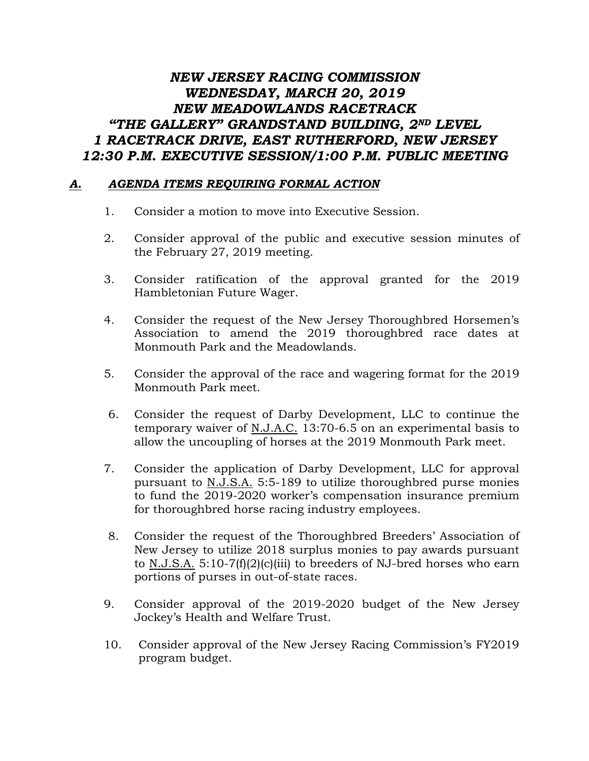## *NEW JERSEY RACING COMMISSION WEDNESDAY, MARCH 20, 2019 NEW MEADOWLANDS RACETRACK "THE GALLERY" GRANDSTAND BUILDING, 2ND LEVEL 1 RACETRACK DRIVE, EAST RUTHERFORD, NEW JERSEY 12:30 P.M. EXECUTIVE SESSION/1:00 P.M. PUBLIC MEETING*

## *A. AGENDA ITEMS REQUIRING FORMAL ACTION*

- 1. Consider a motion to move into Executive Session.
- 2. Consider approval of the public and executive session minutes of the February 27, 2019 meeting.
- 3. Consider ratification of the approval granted for the 2019 Hambletonian Future Wager.
- 4. Consider the request of the New Jersey Thoroughbred Horsemen's Association to amend the 2019 thoroughbred race dates at Monmouth Park and the Meadowlands.
- 5. Consider the approval of the race and wagering format for the 2019 Monmouth Park meet.
- 6. Consider the request of Darby Development, LLC to continue the temporary waiver of N.J.A.C. 13:70-6.5 on an experimental basis to allow the uncoupling of horses at the 2019 Monmouth Park meet.
- 7. Consider the application of Darby Development, LLC for approval pursuant to N.J.S.A. 5:5-189 to utilize thoroughbred purse monies to fund the 2019-2020 worker's compensation insurance premium for thoroughbred horse racing industry employees.
- 8. Consider the request of the Thoroughbred Breeders' Association of New Jersey to utilize 2018 surplus monies to pay awards pursuant to N.J.S.A.  $5:10-7(f)(2)(c)(iii)$  to breeders of NJ-bred horses who earn portions of purses in out-of-state races.
- 9. Consider approval of the 2019-2020 budget of the New Jersey Jockey's Health and Welfare Trust.
- 10. Consider approval of the New Jersey Racing Commission's FY2019 program budget.